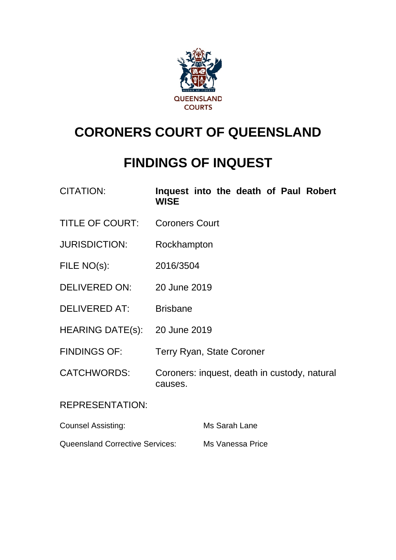

# **CORONERS COURT OF QUEENSLAND**

# **FINDINGS OF INQUEST**

| <b>CITATION:</b> | Inquest into the death of Paul Robert |  |  |  |
|------------------|---------------------------------------|--|--|--|
|                  | <b>WISE</b>                           |  |  |  |

- TITLE OF COURT: Coroners Court
- JURISDICTION: Rockhampton
- FILE NO(s): 2016/3504
- DELIVERED ON: 20 June 2019
- DELIVERED AT: Brisbane
- HEARING DATE(s): 20 June 2019
- FINDINGS OF: Terry Ryan, State Coroner
- CATCHWORDS: Coroners: inquest, death in custody, natural causes.

#### REPRESENTATION:

| <b>Counsel Assisting:</b>              | Ms Sarah Lane    |
|----------------------------------------|------------------|
| <b>Queensland Corrective Services:</b> | Ms Vanessa Price |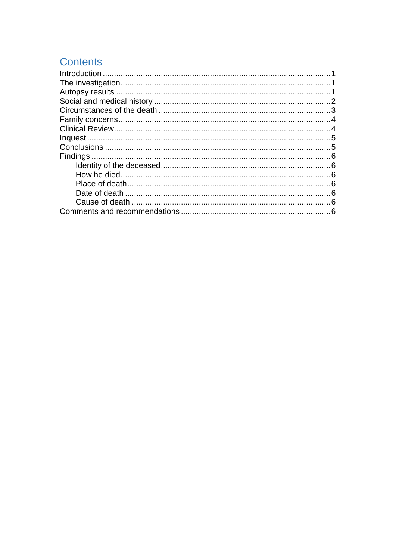# **Contents**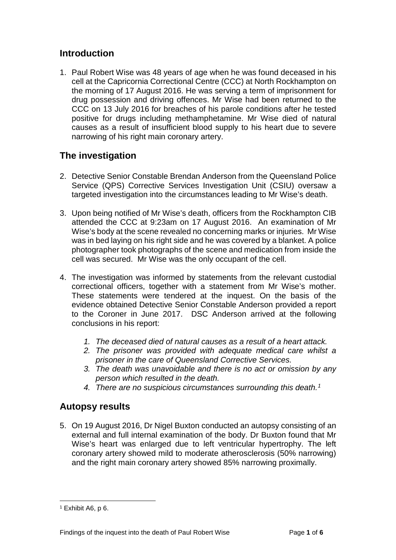### <span id="page-2-0"></span>**Introduction**

1. Paul Robert Wise was 48 years of age when he was found deceased in his cell at the Capricornia Correctional Centre (CCC) at North Rockhampton on the morning of 17 August 2016. He was serving a term of imprisonment for drug possession and driving offences. Mr Wise had been returned to the CCC on 13 July 2016 for breaches of his parole conditions after he tested positive for drugs including methamphetamine. Mr Wise died of natural causes as a result of insufficient blood supply to his heart due to severe narrowing of his right main coronary artery.

## <span id="page-2-1"></span>**The investigation**

- 2. Detective Senior Constable Brendan Anderson from the Queensland Police Service (QPS) Corrective Services Investigation Unit (CSIU) oversaw a targeted investigation into the circumstances leading to Mr Wise's death.
- 3. Upon being notified of Mr Wise's death, officers from the Rockhampton CIB attended the CCC at 9:23am on 17 August 2016. An examination of Mr Wise's body at the scene revealed no concerning marks or injuries. Mr Wise was in bed laying on his right side and he was covered by a blanket. A police photographer took photographs of the scene and medication from inside the cell was secured. Mr Wise was the only occupant of the cell.
- 4. The investigation was informed by statements from the relevant custodial correctional officers, together with a statement from Mr Wise's mother. These statements were tendered at the inquest. On the basis of the evidence obtained Detective Senior Constable Anderson provided a report to the Coroner in June 2017. DSC Anderson arrived at the following conclusions in his report:
	- *1. The deceased died of natural causes as a result of a heart attack.*
	- *2. The prisoner was provided with adequate medical care whilst a prisoner in the care of Queensland Corrective Services.*
	- *3. The death was unavoidable and there is no act or omission by any person which resulted in the death.*
	- *4. There are no suspicious circumstances surrounding this death.[1](#page-2-3)*

#### <span id="page-2-2"></span>**Autopsy results**

5. On 19 August 2016, Dr Nigel Buxton conducted an autopsy consisting of an external and full internal examination of the body. Dr Buxton found that Mr Wise's heart was enlarged due to left ventricular hypertrophy. The left coronary artery showed mild to moderate atherosclerosis (50% narrowing) and the right main coronary artery showed 85% narrowing proximally.

<span id="page-2-3"></span> $1$  Exhibit A6, p 6.  $\overline{a}$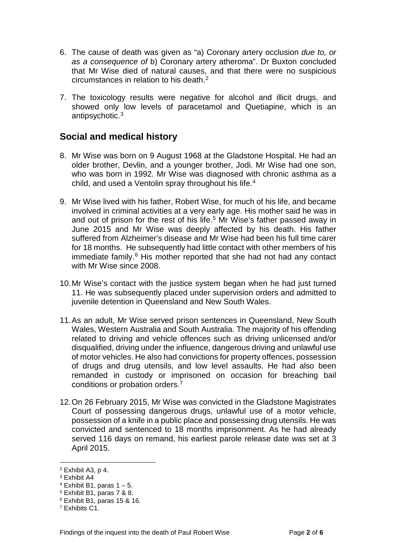- 6. The cause of death was given as "a) Coronary artery occlusion *due to, or as a consequence of* b) Coronary artery atheroma". Dr Buxton concluded that Mr Wise died of natural causes, and that there were no suspicious circumstances in relation to his death.[2](#page-3-1)
- 7. The toxicology results were negative for alcohol and illicit drugs, and showed only low levels of paracetamol and Quetiapine, which is an antipsychotic.[3](#page-3-2)

#### <span id="page-3-0"></span>**Social and medical history**

- 8. Mr Wise was born on 9 August 1968 at the Gladstone Hospital. He had an older brother, Devlin, and a younger brother, Jodi. Mr Wise had one son, who was born in 1992. Mr Wise was diagnosed with chronic asthma as a child, and used a Ventolin spray throughout his life.[4](#page-3-3)
- 9. Mr Wise lived with his father, Robert Wise, for much of his life, and became involved in criminal activities at a very early age. His mother said he was in and out of prison for the rest of his life.<sup>[5](#page-3-4)</sup> Mr Wise's father passed away in June 2015 and Mr Wise was deeply affected by his death. His father suffered from Alzheimer's disease and Mr Wise had been his full time carer for 18 months. He subsequently had little contact with other members of his immediate family.<sup>[6](#page-3-5)</sup> His mother reported that she had not had any contact with Mr Wise since 2008.
- 10.Mr Wise's contact with the justice system began when he had just turned 11. He was subsequently placed under supervision orders and admitted to juvenile detention in Queensland and New South Wales.
- 11.As an adult, Mr Wise served prison sentences in Queensland, New South Wales, Western Australia and South Australia. The majority of his offending related to driving and vehicle offences such as driving unlicensed and/or disqualified, driving under the influence, dangerous driving and unlawful use of motor vehicles. He also had convictions for property offences, possession of drugs and drug utensils, and low level assaults. He had also been remanded in custody or imprisoned on occasion for breaching bail conditions or probation orders[.7](#page-3-6)
- 12.On 26 February 2015, Mr Wise was convicted in the Gladstone Magistrates Court of possessing dangerous drugs, unlawful use of a motor vehicle, possession of a knife in a public place and possessing drug utensils. He was convicted and sentenced to 18 months imprisonment. As he had already served 116 days on remand, his earliest parole release date was set at 3 April 2015.

 $\overline{a}$ 

<span id="page-3-1"></span> $2$  Exhibit A3, p 4.

<span id="page-3-2"></span><sup>3</sup> Exhibit A4

<span id="page-3-3"></span> $4$  Exhibit B1, paras  $1 - 5$ .

<span id="page-3-4"></span><sup>5</sup> Exhibit B1, paras 7 & 8.

<span id="page-3-5"></span><sup>6</sup> Exhibit B1, paras 15 & 16.

<span id="page-3-6"></span><sup>7</sup> Exhibits C1.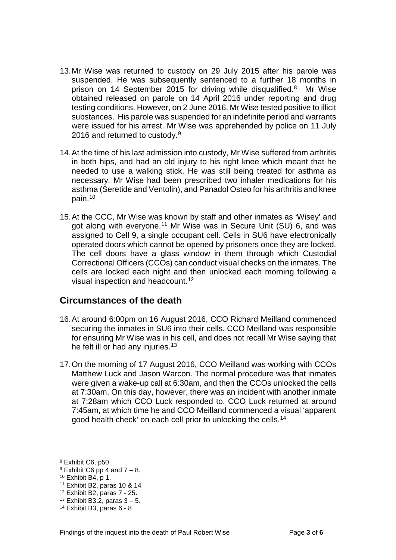- 13.Mr Wise was returned to custody on 29 July 2015 after his parole was suspended. He was subsequently sentenced to a further 18 months in prison on 14 September 2015 for driving while disqualified.<sup>8</sup> Mr Wise obtained released on parole on 14 April 2016 under reporting and drug testing conditions. However, on 2 June 2016, Mr Wise tested positive to illicit substances. His parole was suspended for an indefinite period and warrants were issued for his arrest. Mr Wise was apprehended by police on 11 July 2016 and returned to custody.<sup>[9](#page-4-2)</sup>
- 14.At the time of his last admission into custody, Mr Wise suffered from arthritis in both hips, and had an old injury to his right knee which meant that he needed to use a walking stick. He was still being treated for asthma as necessary. Mr Wise had been prescribed two inhaler medications for his asthma (Seretide and Ventolin), and Panadol Osteo for his arthritis and knee pain. [10](#page-4-3)
- 15.At the CCC, Mr Wise was known by staff and other inmates as 'Wisey' and got along with everyone.<sup>[11](#page-4-4)</sup> Mr Wise was in Secure Unit (SU) 6, and was assigned to Cell 9, a single occupant cell. Cells in SU6 have electronically operated doors which cannot be opened by prisoners once they are locked. The cell doors have a glass window in them through which Custodial Correctional Officers (CCOs) can conduct visual checks on the inmates. The cells are locked each night and then unlocked each morning following a visual inspection and headcount.<sup>[12](#page-4-5)</sup>

#### <span id="page-4-0"></span>**Circumstances of the death**

- 16.At around 6:00pm on 16 August 2016, CCO Richard Meilland commenced securing the inmates in SU6 into their cells. CCO Meilland was responsible for ensuring Mr Wise was in his cell, and does not recall Mr Wise saying that he felt ill or had any injuries.<sup>[13](#page-4-6)</sup>
- 17.On the morning of 17 August 2016, CCO Meilland was working with CCOs Matthew Luck and Jason Warcon. The normal procedure was that inmates were given a wake-up call at 6:30am, and then the CCOs unlocked the cells at 7:30am. On this day, however, there was an incident with another inmate at 7:28am which CCO Luck responded to. CCO Luck returned at around 7:45am, at which time he and CCO Meilland commenced a visual 'apparent good health check' on each cell prior to unlocking the cells.[14](#page-4-7)

 $\overline{a}$ 

<span id="page-4-1"></span><sup>8</sup> Exhibit C6, p50

<span id="page-4-2"></span> $9$  Exhibit C6 pp 4 and  $7 - 8$ .

<span id="page-4-3"></span><sup>10</sup> Exhibit B4, p 1.

<span id="page-4-4"></span><sup>11</sup> Exhibit B2, paras 10 & 14

<span id="page-4-5"></span><sup>12</sup> Exhibit B2, paras 7 - 25.

<span id="page-4-6"></span> $13$  Exhibit B3.2, paras  $3 - 5$ .

<span id="page-4-7"></span><sup>14</sup> Exhibit B3, paras 6 - 8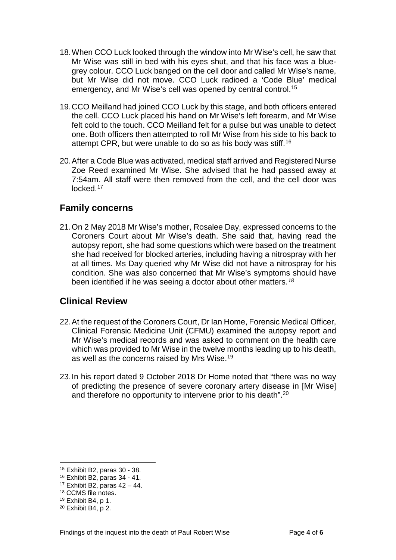- 18.When CCO Luck looked through the window into Mr Wise's cell, he saw that Mr Wise was still in bed with his eyes shut, and that his face was a bluegrey colour. CCO Luck banged on the cell door and called Mr Wise's name, but Mr Wise did not move. CCO Luck radioed a 'Code Blue' medical emergency, and Mr Wise's cell was opened by central control.<sup>[15](#page-5-2)</sup>
- 19.CCO Meilland had joined CCO Luck by this stage, and both officers entered the cell. CCO Luck placed his hand on Mr Wise's left forearm, and Mr Wise felt cold to the touch. CCO Meilland felt for a pulse but was unable to detect one. Both officers then attempted to roll Mr Wise from his side to his back to attempt CPR, but were unable to do so as his body was stiff.[16](#page-5-3)
- 20.After a Code Blue was activated, medical staff arrived and Registered Nurse Zoe Reed examined Mr Wise. She advised that he had passed away at 7:54am. All staff were then removed from the cell, and the cell door was locked[.17](#page-5-4)

#### <span id="page-5-0"></span>**Family concerns**

21.On 2 May 2018 Mr Wise's mother, Rosalee Day, expressed concerns to the Coroners Court about Mr Wise's death. She said that, having read the autopsy report, she had some questions which were based on the treatment she had received for blocked arteries, including having a nitrospray with her at all times. Ms Day queried why Mr Wise did not have a nitrospray for his condition. She was also concerned that Mr Wise's symptoms should have been identified if he was seeing a doctor about other matters*.[18](#page-5-5)*

#### <span id="page-5-1"></span>**Clinical Review**

- 22.At the request of the Coroners Court, Dr Ian Home, Forensic Medical Officer, Clinical Forensic Medicine Unit (CFMU) examined the autopsy report and Mr Wise's medical records and was asked to comment on the health care which was provided to Mr Wise in the twelve months leading up to his death, as well as the concerns raised by Mrs Wise.[19](#page-5-6)
- 23.In his report dated 9 October 2018 Dr Home noted that "there was no way of predicting the presence of severe coronary artery disease in [Mr Wise] and therefore no opportunity to intervene prior to his death".[20](#page-5-7)

 $\overline{a}$ 

<span id="page-5-2"></span><sup>15</sup> Exhibit B2, paras 30 - 38.

<span id="page-5-4"></span><span id="page-5-3"></span><sup>16</sup> Exhibit B2, paras 34 - 41.

 $17$  Exhibit B2, paras  $42 - 44$ .

<span id="page-5-5"></span><sup>18</sup> CCMS file notes.

<span id="page-5-6"></span><sup>19</sup> Exhibit B4, p 1.

<span id="page-5-7"></span><sup>20</sup> Exhibit B4, p 2.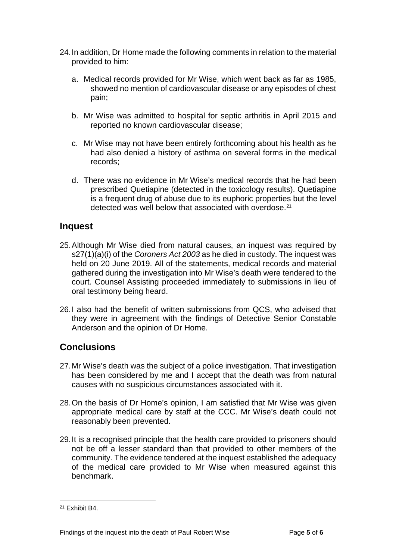- 24.In addition, Dr Home made the following comments in relation to the material provided to him:
	- a. Medical records provided for Mr Wise, which went back as far as 1985, showed no mention of cardiovascular disease or any episodes of chest pain;
	- b. Mr Wise was admitted to hospital for septic arthritis in April 2015 and reported no known cardiovascular disease;
	- c. Mr Wise may not have been entirely forthcoming about his health as he had also denied a history of asthma on several forms in the medical records;
	- d. There was no evidence in Mr Wise's medical records that he had been prescribed Quetiapine (detected in the toxicology results). Quetiapine is a frequent drug of abuse due to its euphoric properties but the level detected was well below that associated with overdose.[21](#page-6-2)

#### <span id="page-6-0"></span>**Inquest**

- 25.Although Mr Wise died from natural causes, an inquest was required by s27(1)(a)(i) of the *Coroners Act 2003* as he died in custody. The inquest was held on 20 June 2019. All of the statements, medical records and material gathered during the investigation into Mr Wise's death were tendered to the court. Counsel Assisting proceeded immediately to submissions in lieu of oral testimony being heard.
- 26.I also had the benefit of written submissions from QCS, who advised that they were in agreement with the findings of Detective Senior Constable Anderson and the opinion of Dr Home.

## <span id="page-6-1"></span>**Conclusions**

- 27.Mr Wise's death was the subject of a police investigation. That investigation has been considered by me and I accept that the death was from natural causes with no suspicious circumstances associated with it.
- 28.On the basis of Dr Home's opinion, I am satisfied that Mr Wise was given appropriate medical care by staff at the CCC. Mr Wise's death could not reasonably been prevented.
- 29.It is a recognised principle that the health care provided to prisoners should not be off a lesser standard than that provided to other members of the community. The evidence tendered at the inquest established the adequacy of the medical care provided to Mr Wise when measured against this benchmark.

<span id="page-6-2"></span><sup>21</sup> Exhibit B4.  $\overline{a}$